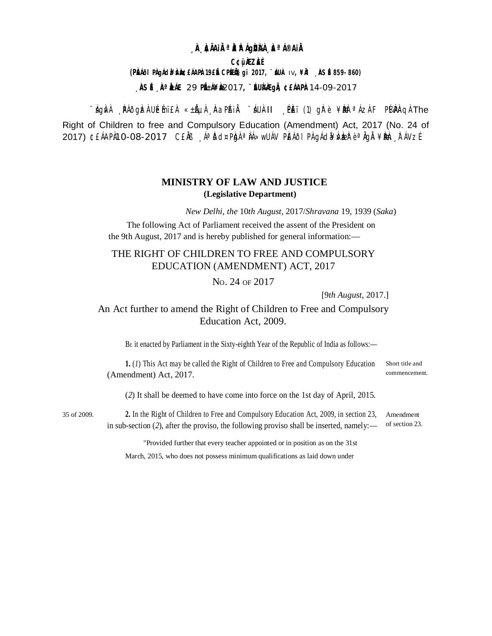### **A AIAIRªA AIAIAA A AIAIA**

**C¢üÀZÀÉ** 

#### (PŘÍII PÀ JÁ da MA BEARPA 19E LE CPELIS g'i 2017, "AUA IV, ¥RI ASÉ 859-860)

 $\overrightarrow{AB}$   $\overrightarrow{E}$   $\overrightarrow{AB}$   $\overrightarrow{E}$   $\overrightarrow{AB}$   $\overrightarrow{AB}$   $\overrightarrow{BC}$   $\overrightarrow{AB}$   $\overrightarrow{AB}$   $\overrightarrow{AB}$   $\overrightarrow{AB}$   $\overrightarrow{BC}$   $\overrightarrow{AB}$   $\overrightarrow{BC}$   $\overrightarrow{BC}$   $\overrightarrow{AB}$   $\overrightarrow{BC}$   $\overrightarrow{BC}$   $\overrightarrow{BC}$   $\overrightarrow{BC}$   $\overrightarrow{BC}$   $\overrightarrow{BC}$   $\overrightarrow{BC}$   $\overrightarrow{BC}$   $\overrightarrow{$ 

∵ÁgÌvÀ RAÕgÌzÀUÉmï£À «±ẤµÀ AaPAiĂ ∵ÁUÀII OPÈï(1) gh`è ¥ÈNèªÁzÀF PI4PÀQÀThe Right of Children to free and Compulsory Education (Amendment) Act, 2017 (No. 24 of 2017) ¢£ÁAPÀ10-08-2017 C£ĂB "ÁªĎd¤PbjAªÀÁ»wUÁV PĚÁÕI PA gÁd¥ÁVbeRèªÀgĂ ¥Bbh "TÁVzÉ

## **MINISTRY OF LAW AND JUSTICE** (Legislative Department)

New Delhi, the 10th August, 2017/Shravana 19, 1939 (Saka)

The following Act of Parliament received the assent of the President on the 9th August, 2017 and is hereby published for general information:—

# THE RIGHT OF CHILDREN TO FREE AND COMPULSORY EDUCATION (AMENDMENT) ACT, 2017

No. 24 of 2017

[9th August, 2017.]

# An Act further to amend the Right of Children to Free and Compulsory Education Act, 2009.

BE it enacted by Parliament in the Sixty-eighth Year of the Republic of India as follows:-

1. (1) This Act may be called the Right of Children to Free and Compulsory Education Short title and (Amendment) Act, 2017.

commencement.

(2) It shall be deemed to have come into force on the 1st day of April, 2015.

35 of 2009

2. In the Right of Children to Free and Compulsory Education Act, 2009, in section 23, Amendment of section 23. in sub-section (2), after the proviso, the following proviso shall be inserted, namely:—

"Provided further that every teacher appointed or in position as on the 31st

March, 2015, who does not possess minimum qualifications as laid down under